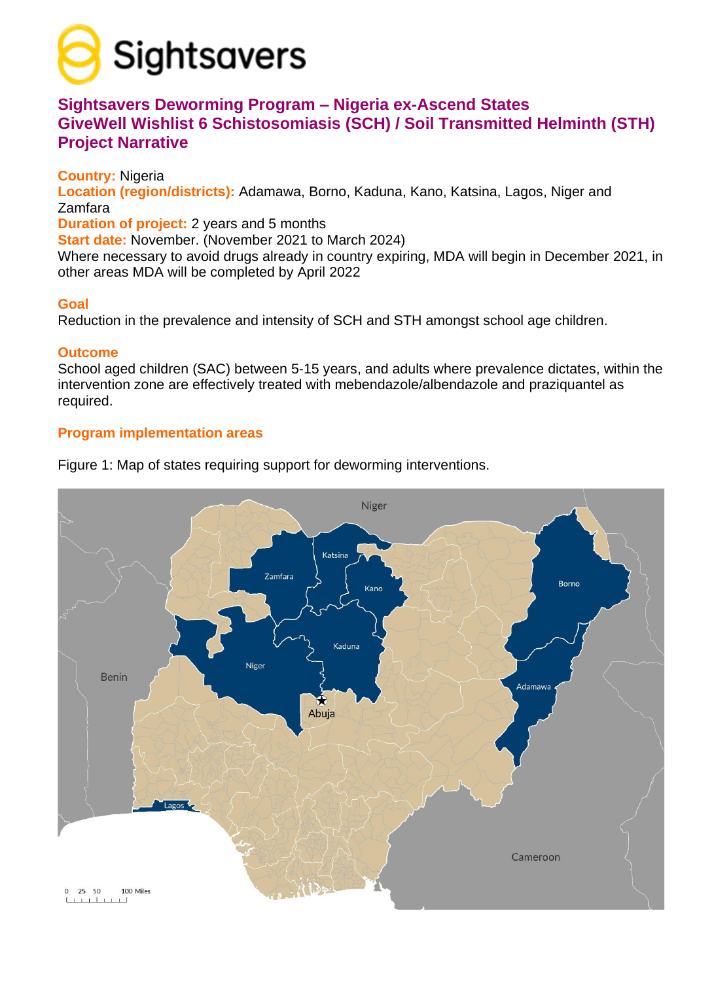

# **Sightsavers Deworming Program – Nigeria ex-Ascend States GiveWell Wishlist 6 Schistosomiasis (SCH) / Soil Transmitted Helminth (STH) Project Narrative**

**Country:** Nigeria

**Location (region/districts):** Adamawa, Borno, Kaduna, Kano, Katsina, Lagos, Niger and Zamfara

**Duration of project:** 2 years and 5 months

**Start date:** November. (November 2021 to March 2024)

Where necessary to avoid drugs already in country expiring, MDA will begin in December 2021, in other areas MDA will be completed by April 2022

## **Goal**

Reduction in the prevalence and intensity of SCH and STH amongst school age children.

## **Outcome**

School aged children (SAC) between 5-15 years, and adults where prevalence dictates, within the intervention zone are effectively treated with mebendazole/albendazole and praziquantel as required.

# **Program implementation areas**



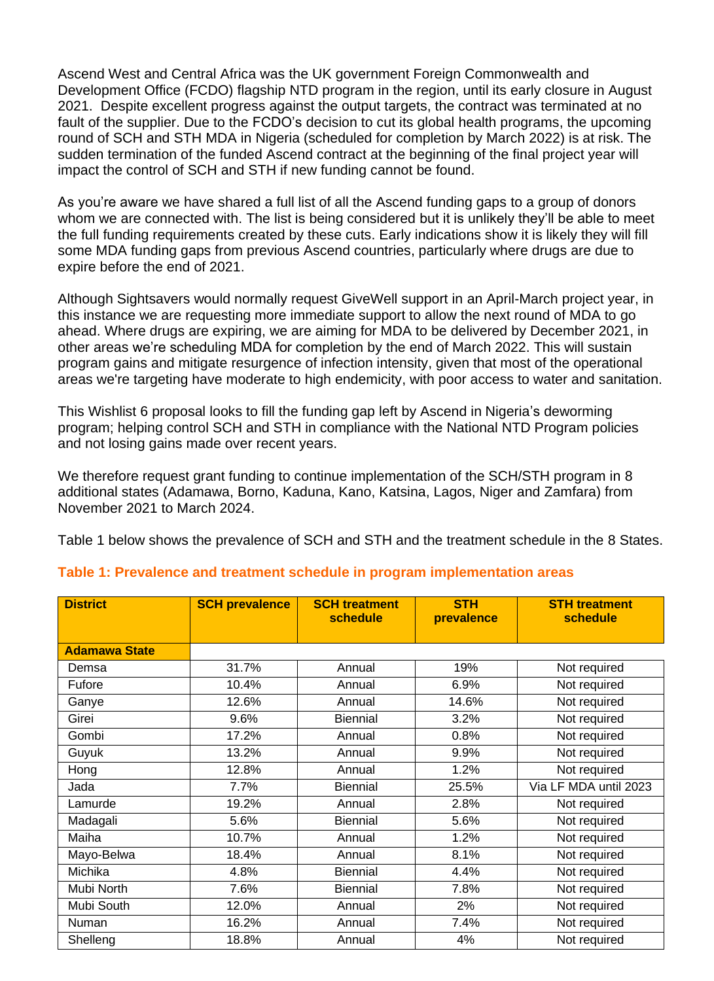Ascend West and Central Africa was the UK government Foreign Commonwealth and Development Office (FCDO) flagship NTD program in the region, until its early closure in August 2021. Despite excellent progress against the output targets, the contract was terminated at no fault of the supplier. Due to the FCDO's decision to cut its global health programs, the upcoming round of SCH and STH MDA in Nigeria (scheduled for completion by March 2022) is at risk. The sudden termination of the funded Ascend contract at the beginning of the final project year will impact the control of SCH and STH if new funding cannot be found.

As you're aware we have shared a full list of all the Ascend funding gaps to a group of donors whom we are connected with. The list is being considered but it is unlikely they'll be able to meet the full funding requirements created by these cuts. Early indications show it is likely they will fill some MDA funding gaps from previous Ascend countries, particularly where drugs are due to expire before the end of 2021.

Although Sightsavers would normally request GiveWell support in an April-March project year, in this instance we are requesting more immediate support to allow the next round of MDA to go ahead. Where drugs are expiring, we are aiming for MDA to be delivered by December 2021, in other areas we're scheduling MDA for completion by the end of March 2022. This will sustain program gains and mitigate resurgence of infection intensity, given that most of the operational areas we're targeting have moderate to high endemicity, with poor access to water and sanitation.

This Wishlist 6 proposal looks to fill the funding gap left by Ascend in Nigeria's deworming program; helping control SCH and STH in compliance with the National NTD Program policies and not losing gains made over recent years.

We therefore request grant funding to continue implementation of the SCH/STH program in 8 additional states (Adamawa, Borno, Kaduna, Kano, Katsina, Lagos, Niger and Zamfara) from November 2021 to March 2024.

Table 1 below shows the prevalence of SCH and STH and the treatment schedule in the 8 States.

| <b>District</b>      | <b>SCH prevalence</b> | <b>SCH treatment</b><br>schedule | <b>STH</b><br>prevalence | <b>STH treatment</b><br>schedule |
|----------------------|-----------------------|----------------------------------|--------------------------|----------------------------------|
|                      |                       |                                  |                          |                                  |
| <b>Adamawa State</b> |                       |                                  |                          |                                  |
| Demsa                | 31.7%                 | Annual                           | 19%                      | Not required                     |
| Fufore               | 10.4%                 | Annual                           | 6.9%                     | Not required                     |
| Ganye                | 12.6%                 | Annual                           | 14.6%                    | Not required                     |
| Girei                | 9.6%                  | <b>Biennial</b>                  | 3.2%                     | Not required                     |
| Gombi                | 17.2%                 | Annual                           | 0.8%                     | Not required                     |
| Guyuk                | 13.2%                 | Annual                           | 9.9%                     | Not required                     |
| Hong                 | 12.8%                 | Annual                           | 1.2%                     | Not required                     |
| Jada                 | 7.7%                  | <b>Biennial</b>                  | 25.5%                    | Via LF MDA until 2023            |
| Lamurde              | 19.2%                 | Annual                           | 2.8%                     | Not required                     |
| Madagali             | 5.6%                  | <b>Biennial</b>                  | 5.6%                     | Not required                     |
| Maiha                | 10.7%                 | Annual                           | 1.2%                     | Not required                     |
| Mayo-Belwa           | 18.4%                 | Annual                           | 8.1%                     | Not required                     |
| Michika              | 4.8%                  | <b>Biennial</b>                  | 4.4%                     | Not required                     |
| Mubi North           | 7.6%                  | <b>Biennial</b>                  | 7.8%                     | Not required                     |
| Mubi South           | 12.0%                 | Annual                           | 2%                       | Not required                     |
| Numan                | 16.2%                 | Annual                           | 7.4%                     | Not required                     |
| Shelleng             | 18.8%                 | Annual                           | 4%                       | Not required                     |

#### **Table 1: Prevalence and treatment schedule in program implementation areas**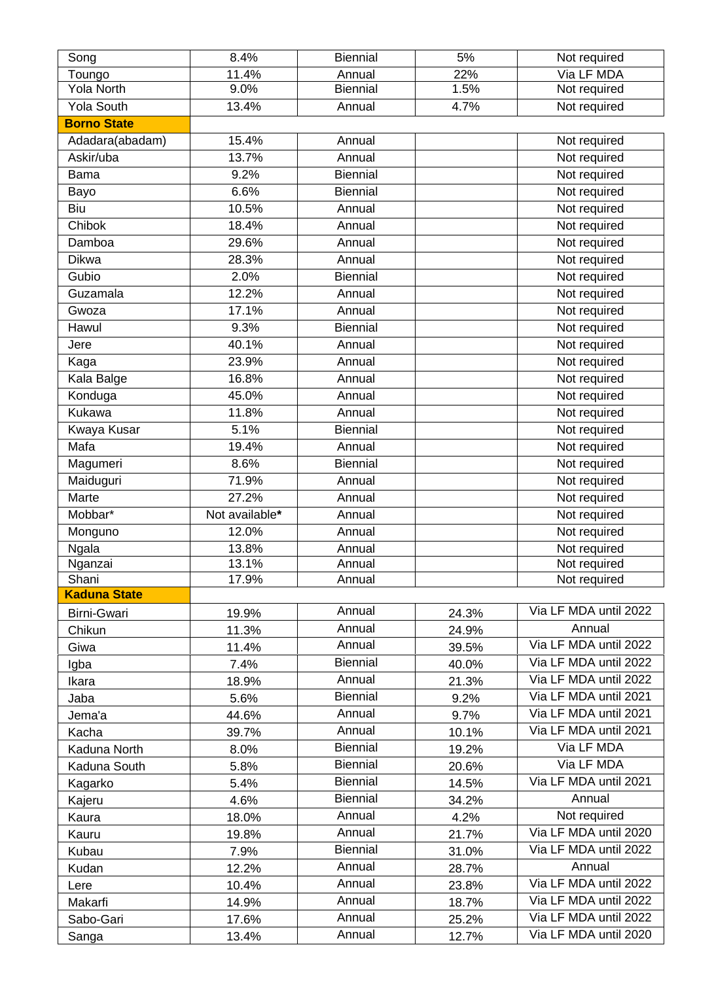| Song                | 8.4%           | <b>Biennial</b>  | 5%    | Not required                 |
|---------------------|----------------|------------------|-------|------------------------------|
| Toungo              | 11.4%          | Annual           | 22%   | Via LF MDA                   |
| Yola North          | 9.0%           | <b>Biennial</b>  | 1.5%  | Not required                 |
| <b>Yola South</b>   | 13.4%          | Annual           | 4.7%  | Not required                 |
| <b>Borno State</b>  |                |                  |       |                              |
| Adadara(abadam)     | 15.4%          | Annual           |       | Not required                 |
| Askir/uba           | 13.7%          | Annual           |       | Not required                 |
| <b>Bama</b>         | 9.2%           | <b>Biennial</b>  |       | Not required                 |
| Bayo                | 6.6%           | <b>Biennial</b>  |       | Not required                 |
| Biu                 | 10.5%          | Annual           |       | Not required                 |
| Chibok              | 18.4%          | Annual           |       | Not required                 |
| Damboa              | 29.6%          | Annual           |       | Not required                 |
| Dikwa               | 28.3%          | Annual           |       | Not required                 |
| Gubio               | 2.0%           | Biennial         |       | Not required                 |
| Guzamala            | 12.2%          | Annual           |       | Not required                 |
| Gwoza               | 17.1%          | Annual           |       | Not required                 |
| Hawul               | 9.3%           | <b>Biennial</b>  |       | Not required                 |
| Jere                | 40.1%          | Annual           |       | Not required                 |
| Kaga                | 23.9%          | Annual           |       | Not required                 |
| Kala Balge          | 16.8%          | Annual           |       | Not required                 |
| Konduga             | 45.0%          | Annual           |       | Not required                 |
| Kukawa              | 11.8%          | Annual           |       | Not required                 |
| <b>Kwaya Kusar</b>  | 5.1%           | Biennial         |       | Not required                 |
| Mafa                | 19.4%          | Annual           |       | Not required                 |
| Magumeri            | 8.6%           | <b>Biennial</b>  |       | Not required                 |
| Maiduguri           | 71.9%          | Annual           |       | Not required                 |
| <b>Marte</b>        | 27.2%          | Annual           |       | Not required                 |
| Mobbar*             | Not available* |                  |       |                              |
|                     | 12.0%          | Annual<br>Annual |       | Not required                 |
| Monguno             |                |                  |       | Not required                 |
| Ngala<br>Nganzai    | 13.8%<br>13.1% | Annual<br>Annual |       | Not required<br>Not required |
| Shani               | 17.9%          | Annual           |       | Not required                 |
| <b>Kaduna State</b> |                |                  |       |                              |
| Birni-Gwari         | 19.9%          | Annual           | 24.3% | Via LF MDA until 2022        |
| Chikun              | 11.3%          | Annual           | 24.9% | Annual                       |
|                     |                | Annual           |       | Via LF MDA until 2022        |
| Giwa                | 11.4%          | <b>Biennial</b>  | 39.5% | Via LF MDA until 2022        |
| Igba                | 7.4%           | Annual           | 40.0% | Via LF MDA until 2022        |
| Ikara               | 18.9%          | <b>Biennial</b>  | 21.3% | Via LF MDA until 2021        |
| Jaba                | 5.6%           | Annual           | 9.2%  | Via LF MDA until 2021        |
| Jema'a              | 44.6%          | Annual           | 9.7%  | Via LF MDA until 2021        |
| Kacha               | 39.7%          | <b>Biennial</b>  | 10.1% | Via LF MDA                   |
| Kaduna North        | 8.0%           | <b>Biennial</b>  | 19.2% | Via LF MDA                   |
| Kaduna South        | 5.8%           |                  | 20.6% |                              |
| Kagarko             | 5.4%           | <b>Biennial</b>  | 14.5% | Via LF MDA until 2021        |
| Kajeru              | 4.6%           | <b>Biennial</b>  | 34.2% | Annual                       |
| Kaura               | 18.0%          | Annual           | 4.2%  | Not required                 |
| Kauru               | 19.8%          | Annual           | 21.7% | Via LF MDA until 2020        |
| Kubau               | 7.9%           | <b>Biennial</b>  | 31.0% | Via LF MDA until 2022        |
| Kudan               | 12.2%          | Annual           | 28.7% | Annual                       |
| Lere                | 10.4%          | Annual           | 23.8% | Via LF MDA until 2022        |
| Makarfi             | 14.9%          | Annual           | 18.7% | Via LF MDA until 2022        |
| Sabo-Gari           | 17.6%          | Annual           | 25.2% | Via LF MDA until 2022        |
| Sanga               | 13.4%          | Annual           | 12.7% | Via LF MDA until 2020        |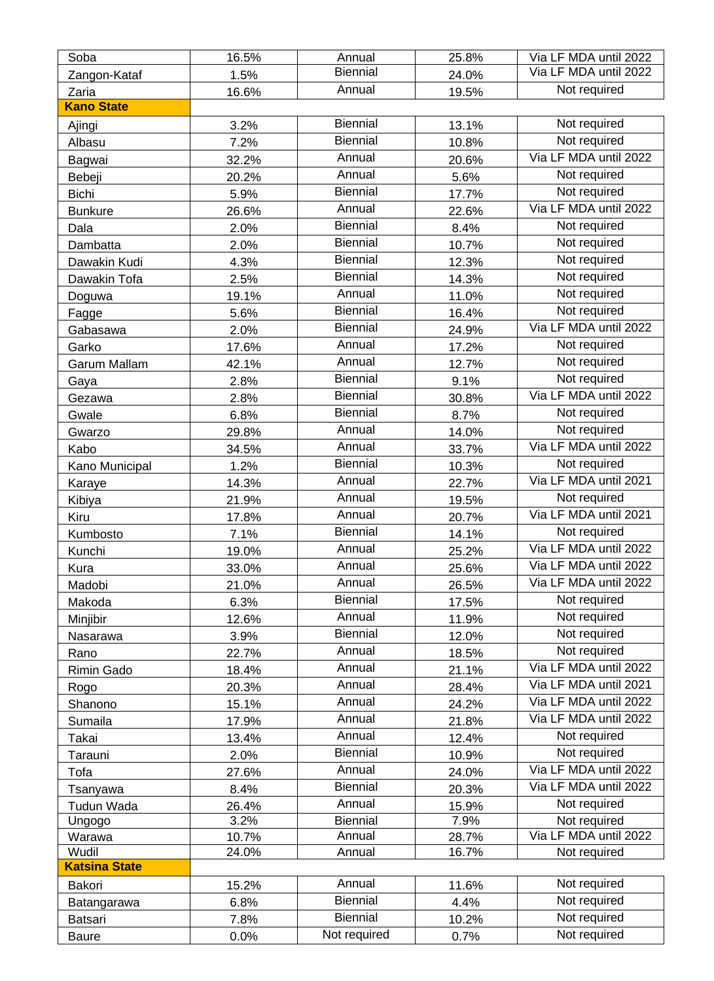| Soba                 | 16.5% | Annual          | 25.8% | Via LF MDA until 2022 |
|----------------------|-------|-----------------|-------|-----------------------|
| Zangon-Kataf         | 1.5%  | <b>Biennial</b> | 24.0% | Via LF MDA until 2022 |
| Zaria                | 16.6% | Annual          | 19.5% | Not required          |
| <b>Kano State</b>    |       |                 |       |                       |
| Ajingi               | 3.2%  | <b>Biennial</b> | 13.1% | Not required          |
| Albasu               | 7.2%  | <b>Biennial</b> | 10.8% | Not required          |
| Bagwai               | 32.2% | Annual          | 20.6% | Via LF MDA until 2022 |
| Bebeji               | 20.2% | Annual          | 5.6%  | Not required          |
| <b>Bichi</b>         | 5.9%  | Biennial        | 17.7% | Not required          |
| <b>Bunkure</b>       | 26.6% | Annual          | 22.6% | Via LF MDA until 2022 |
| Dala                 | 2.0%  | <b>Biennial</b> | 8.4%  | Not required          |
| Dambatta             | 2.0%  | <b>Biennial</b> | 10.7% | Not required          |
| Dawakin Kudi         | 4.3%  | <b>Biennial</b> | 12.3% | Not required          |
| Dawakin Tofa         | 2.5%  | <b>Biennial</b> | 14.3% | Not required          |
| Doguwa               | 19.1% | Annual          | 11.0% | Not required          |
|                      | 5.6%  | <b>Biennial</b> | 16.4% | Not required          |
| Fagge<br>Gabasawa    | 2.0%  | <b>Biennial</b> | 24.9% | Via LF MDA until 2022 |
|                      |       | Annual          | 17.2% | Not required          |
| Garko                | 17.6% | Annual          |       | Not required          |
| Garum Mallam         | 42.1% | <b>Biennial</b> | 12.7% | Not required          |
| Gaya                 | 2.8%  | <b>Biennial</b> | 9.1%  | Via LF MDA until 2022 |
| Gezawa               | 2.8%  | <b>Biennial</b> | 30.8% | Not required          |
| Gwale                | 6.8%  | Annual          | 8.7%  | Not required          |
| Gwarzo               | 29.8% | Annual          | 14.0% | Via LF MDA until 2022 |
| Kabo                 | 34.5% | <b>Biennial</b> | 33.7% |                       |
| Kano Municipal       | 1.2%  |                 | 10.3% | Not required          |
| Karaye               | 14.3% | Annual          | 22.7% | Via LF MDA until 2021 |
| Kibiya               | 21.9% | Annual          | 19.5% | Not required          |
| Kiru                 | 17.8% | Annual          | 20.7% | Via LF MDA until 2021 |
| Kumbosto             | 7.1%  | <b>Biennial</b> | 14.1% | Not required          |
| Kunchi               | 19.0% | Annual          | 25.2% | Via LF MDA until 2022 |
| Kura                 | 33.0% | Annual          | 25.6% | Via LF MDA until 2022 |
| Madobi               | 21.0% | Annual          | 26.5% | Via LF MDA until 2022 |
| Makoda               | 6.3%  | <b>Biennial</b> | 17.5% | Not required          |
| Minjibir             | 12.6% | Annual          | 11.9% | Not required          |
| Nasarawa             | 3.9%  | <b>Biennial</b> | 12.0% | Not required          |
| Rano                 | 22.7% | Annual          | 18.5% | Not required          |
| Rimin Gado           | 18.4% | Annual          | 21.1% | Via LF MDA until 2022 |
| Rogo                 | 20.3% | Annual          | 28.4% | Via LF MDA until 2021 |
| Shanono              | 15.1% | Annual          | 24.2% | Via LF MDA until 2022 |
| Sumaila              | 17.9% | Annual          | 21.8% | Via LF MDA until 2022 |
| Takai                | 13.4% | Annual          | 12.4% | Not required          |
| Tarauni              | 2.0%  | <b>Biennial</b> | 10.9% | Not required          |
| Tofa                 | 27.6% | Annual          | 24.0% | Via LF MDA until 2022 |
| Tsanyawa             | 8.4%  | <b>Biennial</b> | 20.3% | Via LF MDA until 2022 |
| Tudun Wada           | 26.4% | Annual          | 15.9% | Not required          |
| Ungogo               | 3.2%  | <b>Biennial</b> | 7.9%  | Not required          |
| Warawa               | 10.7% | Annual          | 28.7% | Via LF MDA until 2022 |
| Wudil                | 24.0% | Annual          | 16.7% | Not required          |
| <b>Katsina State</b> |       |                 |       |                       |
| Bakori               | 15.2% | Annual          | 11.6% | Not required          |
| Batangarawa          | 6.8%  | <b>Biennial</b> | 4.4%  | Not required          |
| Batsari              | 7.8%  | <b>Biennial</b> | 10.2% | Not required          |
| <b>Baure</b>         | 0.0%  | Not required    | 0.7%  | Not required          |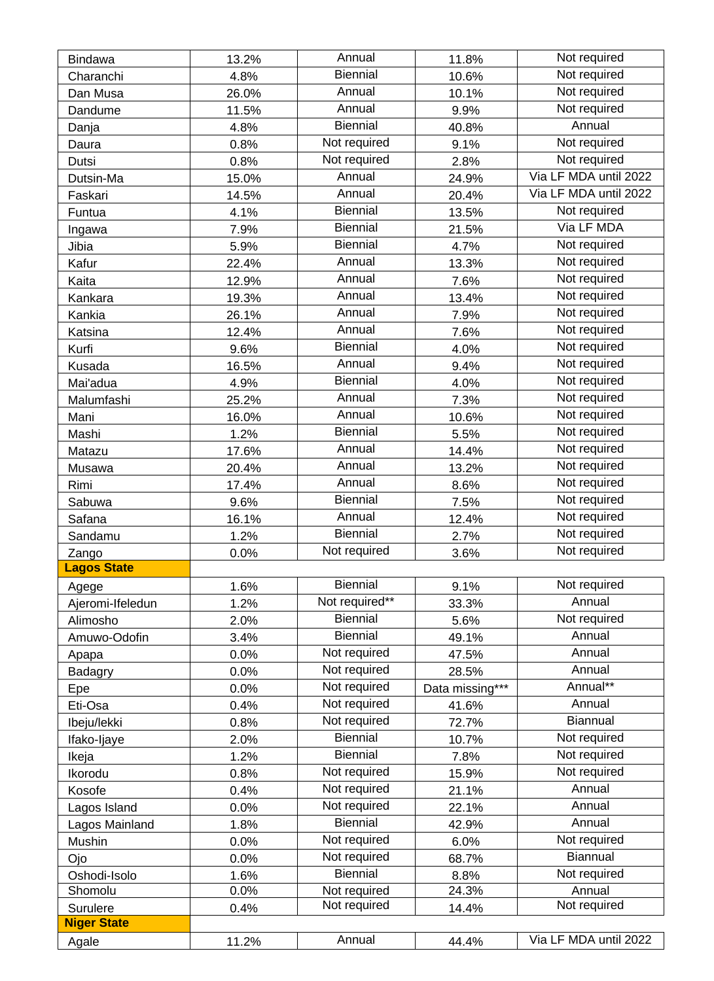| <b>Bindawa</b>     | 13.2% | Annual          | 11.8%           | Not required          |
|--------------------|-------|-----------------|-----------------|-----------------------|
| Charanchi          | 4.8%  | <b>Biennial</b> | 10.6%           | Not required          |
| Dan Musa           | 26.0% | Annual          | 10.1%           | Not required          |
| Dandume            | 11.5% | Annual          | 9.9%            | Not required          |
| Danja              | 4.8%  | <b>Biennial</b> | 40.8%           | Annual                |
| Daura              | 0.8%  | Not required    | 9.1%            | Not required          |
| Dutsi              | 0.8%  | Not required    | 2.8%            | Not required          |
| Dutsin-Ma          | 15.0% | Annual          | 24.9%           | Via LF MDA until 2022 |
| Faskari            | 14.5% | Annual          | 20.4%           | Via LF MDA until 2022 |
| Funtua             | 4.1%  | Biennial        | 13.5%           | Not required          |
| Ingawa             | 7.9%  | <b>Biennial</b> | 21.5%           | Via LF MDA            |
| Jibia              | 5.9%  | <b>Biennial</b> | 4.7%            | Not required          |
| Kafur              | 22.4% | Annual          | 13.3%           | Not required          |
| Kaita              | 12.9% | Annual          | 7.6%            | Not required          |
| Kankara            | 19.3% | Annual          | 13.4%           | Not required          |
| Kankia             |       | Annual          |                 | Not required          |
|                    | 26.1% | Annual          | 7.9%            | Not required          |
| Katsina            | 12.4% | <b>Biennial</b> | 7.6%            | Not required          |
| Kurfi              | 9.6%  | Annual          | 4.0%            | Not required          |
| Kusada             | 16.5% | <b>Biennial</b> | 9.4%            | Not required          |
| Mai'adua           | 4.9%  | Annual          | 4.0%            | Not required          |
| Malumfashi         | 25.2% | Annual          | 7.3%            | Not required          |
| Mani               | 16.0% | <b>Biennial</b> | 10.6%           | Not required          |
| Mashi              | 1.2%  | Annual          | 5.5%            | Not required          |
| Matazu             | 17.6% | Annual          | 14.4%           |                       |
| Musawa             | 20.4% |                 | 13.2%           | Not required          |
| Rimi               | 17.4% | Annual          | 8.6%            | Not required          |
| Sabuwa             | 9.6%  | <b>Biennial</b> | 7.5%            | Not required          |
| Safana             | 16.1% | Annual          | 12.4%           | Not required          |
| Sandamu            | 1.2%  | <b>Biennial</b> | 2.7%            | Not required          |
| Zango              | 0.0%  | Not required    | 3.6%            | Not required          |
| <b>Lagos State</b> |       |                 |                 |                       |
| Agege              | 1.6%  | <b>Biennial</b> | 9.1%            | Not required          |
| Ajeromi-Ifeledun   | 1.2%  | Not required**  | 33.3%           | Annual                |
| Alimosho           | 2.0%  | <b>Biennial</b> | 5.6%            | Not required          |
| Amuwo-Odofin       | 3.4%  | <b>Biennial</b> | 49.1%           | Annual                |
| Apapa              | 0.0%  | Not required    | 47.5%           | Annual                |
| <b>Badagry</b>     | 0.0%  | Not required    | 28.5%           | Annual                |
| Epe                | 0.0%  | Not required    | Data missing*** | Annual**              |
| Eti-Osa            | 0.4%  | Not required    | 41.6%           | Annual                |
| Ibeju/lekki        | 0.8%  | Not required    | 72.7%           | Biannual              |
| Ifako-Ijaye        | 2.0%  | <b>Biennial</b> | 10.7%           | Not required          |
| Ikeja              | 1.2%  | <b>Biennial</b> | 7.8%            | Not required          |
| Ikorodu            | 0.8%  | Not required    | 15.9%           | Not required          |
| Kosofe             | 0.4%  | Not required    | 21.1%           | Annual                |
| Lagos Island       | 0.0%  | Not required    | 22.1%           | Annual                |
| Lagos Mainland     | 1.8%  | <b>Biennial</b> | 42.9%           | Annual                |
| Mushin             | 0.0%  | Not required    | 6.0%            | Not required          |
| Ojo                | 0.0%  | Not required    | 68.7%           | Biannual              |
| Oshodi-Isolo       | 1.6%  | Biennial        | 8.8%            | Not required          |
| Shomolu            | 0.0%  | Not required    | 24.3%           | Annual                |
| Surulere           | 0.4%  | Not required    | 14.4%           | Not required          |
| <b>Niger State</b> |       |                 |                 |                       |
| Agale              | 11.2% | Annual          | 44.4%           | Via LF MDA until 2022 |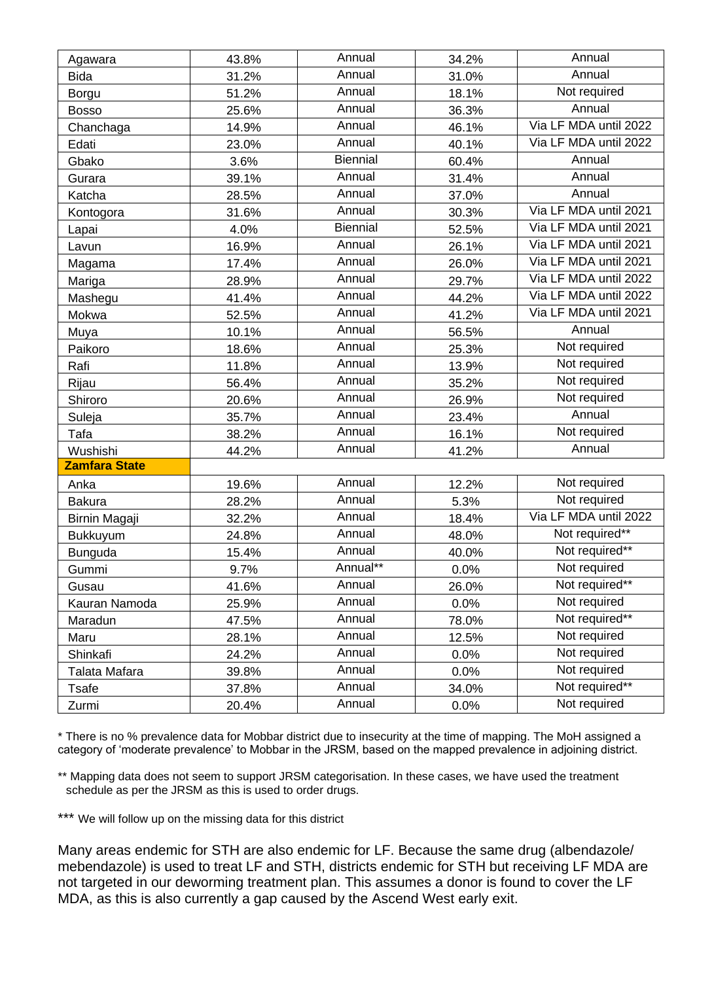| Annual<br>Annual<br>43.8%<br>34.2%<br>Agawara<br>Annual<br>Annual<br>31.2%<br>31.0%<br><b>Bida</b><br>Annual<br>Not required<br>18.1%<br>51.2%<br>Borgu<br>Annual<br>Annual<br>25.6%<br>36.3%<br><b>Bosso</b><br>Via LF MDA until 2022<br>Annual<br>Chanchaga<br>14.9%<br>46.1%<br>Annual<br>Via LF MDA until 2022<br>40.1%<br>Edati<br>23.0%<br><b>Biennial</b><br>Annual<br>Gbako<br>3.6%<br>60.4%<br>Annual<br>Annual<br>39.1%<br>31.4%<br>Gurara<br>Annual<br>Annual<br>Katcha<br>28.5%<br>37.0%<br>Annual<br>Via LF MDA until 2021<br>31.6%<br>30.3%<br>Kontogora<br><b>Biennial</b><br>Via LF MDA until 2021<br>4.0%<br>52.5%<br>Lapai<br>Via LF MDA until 2021<br>Annual<br>16.9%<br>26.1%<br>Lavun<br>Via LF MDA until 2021<br>Annual<br>17.4%<br>26.0%<br>Magama<br>Via LF MDA until 2022<br>Annual<br>29.7%<br>Mariga<br>28.9% |  |
|------------------------------------------------------------------------------------------------------------------------------------------------------------------------------------------------------------------------------------------------------------------------------------------------------------------------------------------------------------------------------------------------------------------------------------------------------------------------------------------------------------------------------------------------------------------------------------------------------------------------------------------------------------------------------------------------------------------------------------------------------------------------------------------------------------------------------------------|--|
|                                                                                                                                                                                                                                                                                                                                                                                                                                                                                                                                                                                                                                                                                                                                                                                                                                          |  |
|                                                                                                                                                                                                                                                                                                                                                                                                                                                                                                                                                                                                                                                                                                                                                                                                                                          |  |
|                                                                                                                                                                                                                                                                                                                                                                                                                                                                                                                                                                                                                                                                                                                                                                                                                                          |  |
|                                                                                                                                                                                                                                                                                                                                                                                                                                                                                                                                                                                                                                                                                                                                                                                                                                          |  |
|                                                                                                                                                                                                                                                                                                                                                                                                                                                                                                                                                                                                                                                                                                                                                                                                                                          |  |
|                                                                                                                                                                                                                                                                                                                                                                                                                                                                                                                                                                                                                                                                                                                                                                                                                                          |  |
|                                                                                                                                                                                                                                                                                                                                                                                                                                                                                                                                                                                                                                                                                                                                                                                                                                          |  |
|                                                                                                                                                                                                                                                                                                                                                                                                                                                                                                                                                                                                                                                                                                                                                                                                                                          |  |
|                                                                                                                                                                                                                                                                                                                                                                                                                                                                                                                                                                                                                                                                                                                                                                                                                                          |  |
|                                                                                                                                                                                                                                                                                                                                                                                                                                                                                                                                                                                                                                                                                                                                                                                                                                          |  |
|                                                                                                                                                                                                                                                                                                                                                                                                                                                                                                                                                                                                                                                                                                                                                                                                                                          |  |
|                                                                                                                                                                                                                                                                                                                                                                                                                                                                                                                                                                                                                                                                                                                                                                                                                                          |  |
|                                                                                                                                                                                                                                                                                                                                                                                                                                                                                                                                                                                                                                                                                                                                                                                                                                          |  |
|                                                                                                                                                                                                                                                                                                                                                                                                                                                                                                                                                                                                                                                                                                                                                                                                                                          |  |
| Via LF MDA until 2022<br>Annual<br>41.4%<br>44.2%<br>Mashegu                                                                                                                                                                                                                                                                                                                                                                                                                                                                                                                                                                                                                                                                                                                                                                             |  |
| Annual<br>Via LF MDA until 2021<br>Mokwa<br>41.2%<br>52.5%                                                                                                                                                                                                                                                                                                                                                                                                                                                                                                                                                                                                                                                                                                                                                                               |  |
| Annual<br>Annual<br>10.1%<br>56.5%<br>Muya                                                                                                                                                                                                                                                                                                                                                                                                                                                                                                                                                                                                                                                                                                                                                                                               |  |
| Annual<br>Not required<br>Paikoro<br>18.6%<br>25.3%                                                                                                                                                                                                                                                                                                                                                                                                                                                                                                                                                                                                                                                                                                                                                                                      |  |
| Annual<br>Not required<br>11.8%<br>13.9%<br>Rafi                                                                                                                                                                                                                                                                                                                                                                                                                                                                                                                                                                                                                                                                                                                                                                                         |  |
| Annual<br>Not required<br>35.2%<br>56.4%<br>Rijau                                                                                                                                                                                                                                                                                                                                                                                                                                                                                                                                                                                                                                                                                                                                                                                        |  |
| Not required<br>Annual<br>Shiroro<br>20.6%<br>26.9%                                                                                                                                                                                                                                                                                                                                                                                                                                                                                                                                                                                                                                                                                                                                                                                      |  |
| Annual<br>Annual<br>35.7%<br>23.4%<br>Suleja                                                                                                                                                                                                                                                                                                                                                                                                                                                                                                                                                                                                                                                                                                                                                                                             |  |
| Annual<br>Not required<br>Tafa<br>38.2%<br>16.1%                                                                                                                                                                                                                                                                                                                                                                                                                                                                                                                                                                                                                                                                                                                                                                                         |  |
| Annual<br>Annual<br>Wushishi<br>41.2%<br>44.2%                                                                                                                                                                                                                                                                                                                                                                                                                                                                                                                                                                                                                                                                                                                                                                                           |  |
| <b>Zamfara State</b>                                                                                                                                                                                                                                                                                                                                                                                                                                                                                                                                                                                                                                                                                                                                                                                                                     |  |
| Annual<br>Not required<br>12.2%<br>Anka<br>19.6%                                                                                                                                                                                                                                                                                                                                                                                                                                                                                                                                                                                                                                                                                                                                                                                         |  |
| Annual<br>Not required<br>28.2%<br>5.3%<br><b>Bakura</b>                                                                                                                                                                                                                                                                                                                                                                                                                                                                                                                                                                                                                                                                                                                                                                                 |  |
| Via LF MDA until 2022<br>Annual<br>Birnin Magaji<br>32.2%<br>18.4%                                                                                                                                                                                                                                                                                                                                                                                                                                                                                                                                                                                                                                                                                                                                                                       |  |
| Not required**<br>Annual<br>48.0%<br>24.8%<br><b>Bukkuyum</b>                                                                                                                                                                                                                                                                                                                                                                                                                                                                                                                                                                                                                                                                                                                                                                            |  |
| Not required**<br>Annual<br>Bunguda<br>15.4%<br>40.0%                                                                                                                                                                                                                                                                                                                                                                                                                                                                                                                                                                                                                                                                                                                                                                                    |  |
| Annual**<br>Not required<br>9.7%<br>0.0%<br>Gummi                                                                                                                                                                                                                                                                                                                                                                                                                                                                                                                                                                                                                                                                                                                                                                                        |  |
| Not required**<br>Annual<br>41.6%<br>26.0%<br>Gusau                                                                                                                                                                                                                                                                                                                                                                                                                                                                                                                                                                                                                                                                                                                                                                                      |  |
| Not required<br>Annual<br>Kauran Namoda<br>25.9%<br>0.0%                                                                                                                                                                                                                                                                                                                                                                                                                                                                                                                                                                                                                                                                                                                                                                                 |  |
| Not required**<br>Annual<br>Maradun<br>47.5%<br>78.0%                                                                                                                                                                                                                                                                                                                                                                                                                                                                                                                                                                                                                                                                                                                                                                                    |  |
| Not required<br>Annual<br>28.1%<br>12.5%<br>Maru                                                                                                                                                                                                                                                                                                                                                                                                                                                                                                                                                                                                                                                                                                                                                                                         |  |
|                                                                                                                                                                                                                                                                                                                                                                                                                                                                                                                                                                                                                                                                                                                                                                                                                                          |  |
| Not required<br>Annual<br>Shinkafi<br>24.2%<br>0.0%                                                                                                                                                                                                                                                                                                                                                                                                                                                                                                                                                                                                                                                                                                                                                                                      |  |
| Not required<br>Annual<br>39.8%<br>Talata Mafara<br>0.0%                                                                                                                                                                                                                                                                                                                                                                                                                                                                                                                                                                                                                                                                                                                                                                                 |  |
| Not required**<br>Annual<br>37.8%<br>34.0%<br>Tsafe                                                                                                                                                                                                                                                                                                                                                                                                                                                                                                                                                                                                                                                                                                                                                                                      |  |

\* There is no % prevalence data for Mobbar district due to insecurity at the time of mapping. The MoH assigned a category of 'moderate prevalence' to Mobbar in the JRSM, based on the mapped prevalence in adjoining district.

\*\* Mapping data does not seem to support JRSM categorisation. In these cases, we have used the treatment schedule as per the JRSM as this is used to order drugs.

\*\*\* We will follow up on the missing data for this district

Many areas endemic for STH are also endemic for LF. Because the same drug (albendazole/ mehendazole) is used to treat LF and STH, districts endemic for STH but receiving LF MDA are not targeted in our deworming treatment plan. This assumes a donor is found to cover the LF MDA, as this is also currently a gap caused by the Ascend West early exit.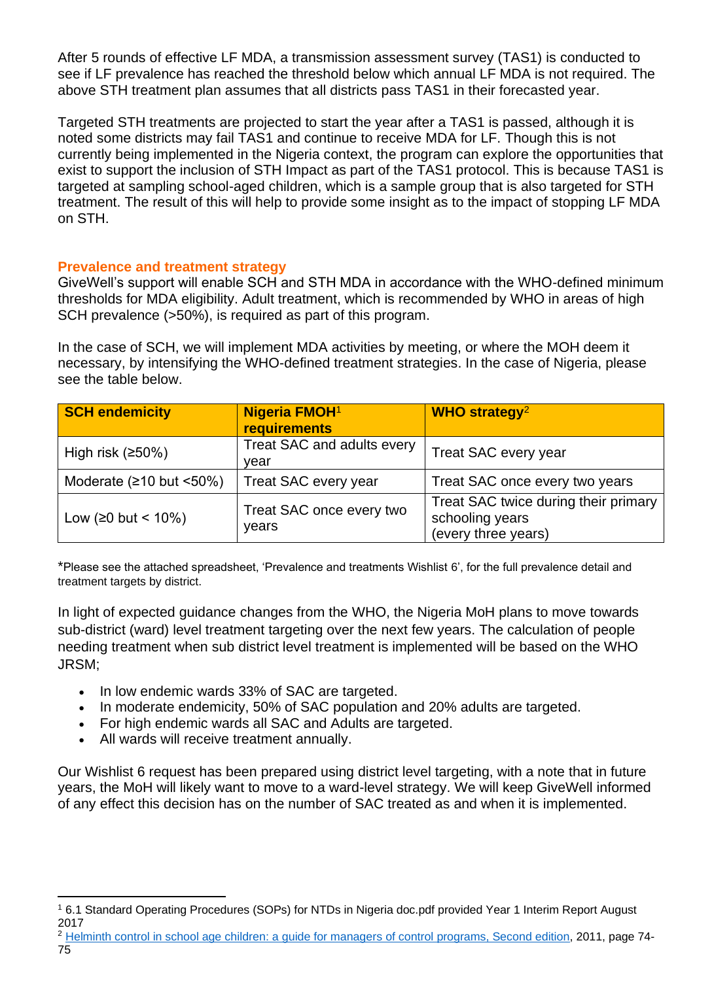After 5 rounds of effective LF MDA, a transmission assessment survey (TAS1) is conducted to see if LF prevalence has reached the threshold below which annual LF MDA is not required. The above STH treatment plan assumes that all districts pass TAS1 in their forecasted year.

Targeted STH treatments are projected to start the year after a TAS1 is passed, although it is noted some districts may fail TAS1 and continue to receive MDA for LF. Though this is not currently being implemented in the Nigeria context, the program can explore the opportunities that exist to support the inclusion of STH Impact as part of the TAS1 protocol. This is because TAS1 is targeted at sampling school-aged children, which is a sample group that is also targeted for STH treatment. The result of this will help to provide some insight as to the impact of stopping LF MDA on STH.

## **Prevalence and treatment strategy**

GiveWell's support will enable SCH and STH MDA in accordance with the WHO-defined minimum thresholds for MDA eligibility. Adult treatment, which is recommended by WHO in areas of high SCH prevalence (>50%), is required as part of this program.

In the case of SCH, we will implement MDA activities by meeting, or where the MOH deem it necessary, by intensifying the WHO-defined treatment strategies. In the case of Nigeria, please see the table below.

| <b>SCH endemicity</b>              | <b>Nigeria FMOH1</b><br><b>requirements</b> | WHO strategy <sup>2</sup>                                                      |
|------------------------------------|---------------------------------------------|--------------------------------------------------------------------------------|
| High risk $(250%)$                 | Treat SAC and adults every<br>vear          | Treat SAC every year                                                           |
| Moderate $(210 \text{ but } 50\%)$ | Treat SAC every year                        | Treat SAC once every two years                                                 |
| Low (≥0 but < $10\%$ )             | Treat SAC once every two<br>years           | Treat SAC twice during their primary<br>schooling years<br>(every three years) |

\*Please see the attached spreadsheet, 'Prevalence and treatments Wishlist 6', for the full prevalence detail and treatment targets by district.

In light of expected guidance changes from the WHO, the Nigeria MoH plans to move towards sub-district (ward) level treatment targeting over the next few years. The calculation of people needing treatment when sub district level treatment is implemented will be based on the WHO JRSM;

- In low endemic wards 33% of SAC are targeted.
- In moderate endemicity, 50% of SAC population and 20% adults are targeted.
- For high endemic wards all SAC and Adults are targeted.
- All wards will receive treatment annually.

Our Wishlist 6 request has been prepared using district level targeting, with a note that in future years, the MoH will likely want to move to a ward-level strategy. We will keep GiveWell informed of any effect this decision has on the number of SAC treated as and when it is implemented.

<sup>1</sup> 6.1 Standard Operating Procedures (SOPs) for NTDs in Nigeria doc.pdf provided Year 1 Interim Report August 2017

<sup>&</sup>lt;sup>2</sup> [Helminth control in school age children: a guide for managers of control programs, Second edition,](http://apps.who.int/iris/bitstream/handle/10665/44671/9789241548267_eng.pdf?sequence=1) 2011, page 74-75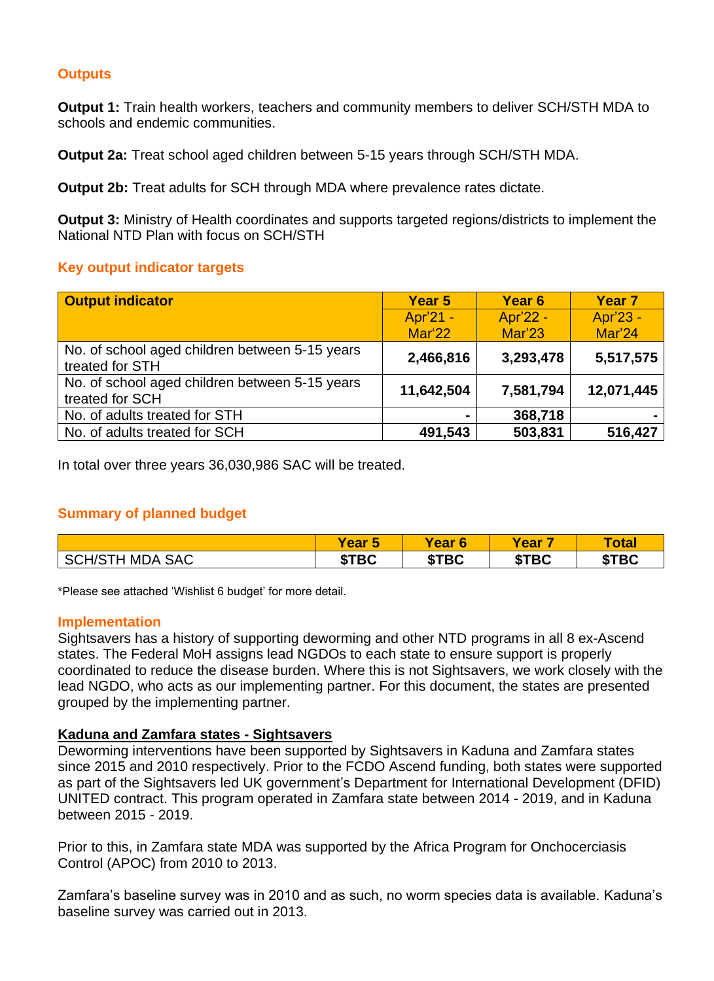# **Outputs**

**Output 1:** Train health workers, teachers and community members to deliver SCH/STH MDA to schools and endemic communities.

**Output 2a:** Treat school aged children between 5-15 years through SCH/STH MDA.

**Output 2b:** Treat adults for SCH through MDA where prevalence rates dictate.

**Output 3:** Ministry of Health coordinates and supports targeted regions/districts to implement the National NTD Plan with focus on SCH/STH

#### **Key output indicator targets**

| <b>Output indicator</b>                                           | Year 5     | Year <sub>6</sub> | Year <sub>7</sub> |
|-------------------------------------------------------------------|------------|-------------------|-------------------|
|                                                                   | Apr'21 -   | Apr'22 -          | Apr'23 -          |
|                                                                   | Mar'22     | Mar'23            | Mar'24            |
| No. of school aged children between 5-15 years<br>treated for STH | 2,466,816  | 3,293,478         | 5,517,575         |
| No. of school aged children between 5-15 years<br>treated for SCH | 11,642,504 | 7,581,794         | 12,071,445        |
| No. of adults treated for STH                                     |            | 368,718           |                   |
| No. of adults treated for SCH                                     | 491,543    | 503,831           | 516,427           |

In total over three years 36,030,986 SAC will be treated.

## **Summary of planned budget**

|                                          | <b>Year</b><br>w | <b>Year</b><br>$6\phantom{1}$ | <b>Year</b>         | <b>Total</b> |
|------------------------------------------|------------------|-------------------------------|---------------------|--------------|
| $+MDA$ .<br><b>SAC</b><br>SCH/S<br>. I H | <b>\$TBC</b>     | \$TBC                         | <b>\$TBC</b><br>ъD. | \$TBC        |

\*Please see attached 'Wishlist 6 budget' for more detail.

#### **Implementation**

Sightsavers has a history of supporting deworming and other NTD programs in all 8 ex-Ascend states. The Federal MoH assigns lead NGDOs to each state to ensure support is properly coordinated to reduce the disease burden. Where this is not Sightsavers, we work closely with the lead NGDO, who acts as our implementing partner. For this document, the states are presented grouped by the implementing partner.

## **Kaduna and Zamfara states - Sightsavers**

Deworming interventions have been supported by Sightsavers in Kaduna and Zamfara states since 2015 and 2010 respectively. Prior to the FCDO Ascend funding, both states were supported as part of the Sightsavers led UK government's Department for International Development (DFID) UNITED contract. This program operated in Zamfara state between 2014 - 2019, and in Kaduna between 2015 - 2019.

Prior to this, in Zamfara state MDA was supported by the Africa Program for Onchocerciasis Control (APOC) from 2010 to 2013.

Zamfara's baseline survey was in 2010 and as such, no worm species data is available. Kaduna's baseline survey was carried out in 2013.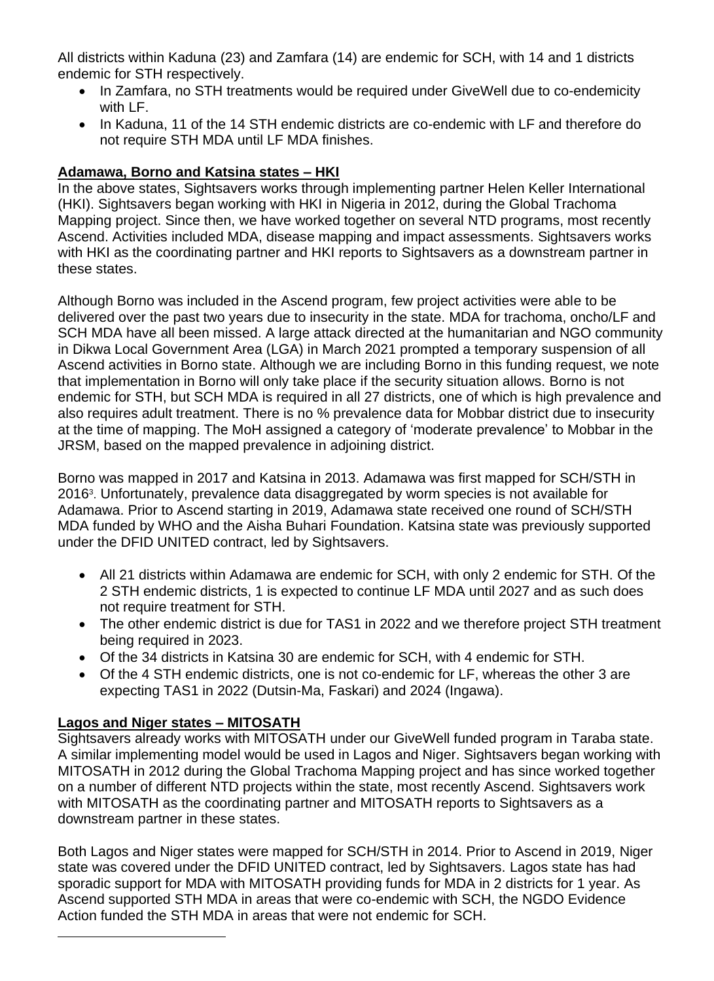All districts within Kaduna (23) and Zamfara (14) are endemic for SCH, with 14 and 1 districts endemic for STH respectively.

- In Zamfara, no STH treatments would be required under GiveWell due to co-endemicity with LF.
- In Kaduna, 11 of the 14 STH endemic districts are co-endemic with LF and therefore do not require STH MDA until LF MDA finishes.

# **Adamawa, Borno and Katsina states – HKI**

In the above states, Sightsavers works through implementing partner Helen Keller International (HKI). Sightsavers began working with HKI in Nigeria in 2012, during the Global Trachoma Mapping project. Since then, we have worked together on several NTD programs, most recently Ascend. Activities included MDA, disease mapping and impact assessments. Sightsavers works with HKI as the coordinating partner and HKI reports to Sightsavers as a downstream partner in these states.

Although Borno was included in the Ascend program, few project activities were able to be delivered over the past two years due to insecurity in the state. MDA for trachoma, oncho/LF and SCH MDA have all been missed. A large attack directed at the humanitarian and NGO community in Dikwa Local Government Area (LGA) in March 2021 prompted a temporary suspension of all Ascend activities in Borno state. Although we are including Borno in this funding request, we note that implementation in Borno will only take place if the security situation allows. Borno is not endemic for STH, but SCH MDA is required in all 27 districts, one of which is high prevalence and also requires adult treatment. There is no % prevalence data for Mobbar district due to insecurity at the time of mapping. The MoH assigned a category of 'moderate prevalence' to Mobbar in the JRSM, based on the mapped prevalence in adjoining district.

Borno was mapped in 2017 and Katsina in 2013. Adamawa was first mapped for SCH/STH in 2016<sup>3</sup>. Unfortunately, prevalence data disaggregated by worm species is not available for Adamawa. Prior to Ascend starting in 2019, Adamawa state received one round of SCH/STH MDA funded by WHO and the Aisha Buhari Foundation. Katsina state was previously supported under the DFID UNITED contract, led by Sightsavers.

- All 21 districts within Adamawa are endemic for SCH, with only 2 endemic for STH. Of the 2 STH endemic districts, 1 is expected to continue LF MDA until 2027 and as such does not require treatment for STH.
- The other endemic district is due for TAS1 in 2022 and we therefore project STH treatment being required in 2023.
- Of the 34 districts in Katsina 30 are endemic for SCH, with 4 endemic for STH.
- Of the 4 STH endemic districts, one is not co-endemic for LF, whereas the other 3 are expecting TAS1 in 2022 (Dutsin-Ma, Faskari) and 2024 (Ingawa).

# **Lagos and Niger states – MITOSATH**

Sightsavers already works with MITOSATH under our GiveWell funded program in Taraba state. A similar implementing model would be used in Lagos and Niger. Sightsavers began working with MITOSATH in 2012 during the Global Trachoma Mapping project and has since worked together on a number of different NTD projects within the state, most recently Ascend. Sightsavers work with MITOSATH as the coordinating partner and MITOSATH reports to Sightsavers as a downstream partner in these states.

Both Lagos and Niger states were mapped for SCH/STH in 2014. Prior to Ascend in 2019, Niger state was covered under the DFID UNITED contract, led by Sightsavers. Lagos state has had sporadic support for MDA with MITOSATH providing funds for MDA in 2 districts for 1 year. As Ascend supported STH MDA in areas that were co-endemic with SCH, the NGDO Evidence Action funded the STH MDA in areas that were not endemic for SCH.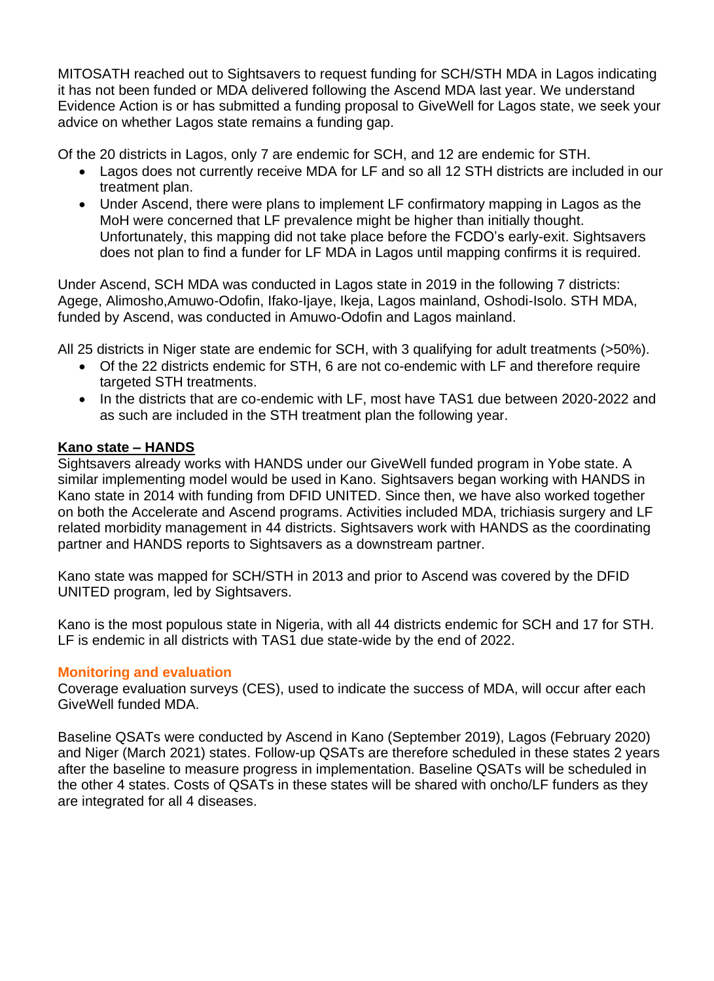MITOSATH reached out to Sightsavers to request funding for SCH/STH MDA in Lagos indicating it has not been funded or MDA delivered following the Ascend MDA last year. We understand Evidence Action is or has submitted a funding proposal to GiveWell for Lagos state, we seek your advice on whether Lagos state remains a funding gap.

Of the 20 districts in Lagos, only 7 are endemic for SCH, and 12 are endemic for STH.

- Lagos does not currently receive MDA for LF and so all 12 STH districts are included in our treatment plan.
- Under Ascend, there were plans to implement LF confirmatory mapping in Lagos as the MoH were concerned that LF prevalence might be higher than initially thought. Unfortunately, this mapping did not take place before the FCDO's early-exit. Sightsavers does not plan to find a funder for LF MDA in Lagos until mapping confirms it is required.

Under Ascend, SCH MDA was conducted in Lagos state in 2019 in the following 7 districts: Agege, Alimosho,Amuwo-Odofin, Ifako-Ijaye, Ikeja, Lagos mainland, Oshodi-Isolo. STH MDA, funded by Ascend, was conducted in Amuwo-Odofin and Lagos mainland.

All 25 districts in Niger state are endemic for SCH, with 3 qualifying for adult treatments (>50%).

- Of the 22 districts endemic for STH, 6 are not co-endemic with LF and therefore require targeted STH treatments.
- In the districts that are co-endemic with LF, most have TAS1 due between 2020-2022 and as such are included in the STH treatment plan the following year.

## **Kano state – HANDS**

Sightsavers already works with HANDS under our GiveWell funded program in Yobe state. A similar implementing model would be used in Kano. Sightsavers began working with HANDS in Kano state in 2014 with funding from DFID UNITED. Since then, we have also worked together on both the Accelerate and Ascend programs. Activities included MDA, trichiasis surgery and LF related morbidity management in 44 districts. Sightsavers work with HANDS as the coordinating partner and HANDS reports to Sightsavers as a downstream partner.

Kano state was mapped for SCH/STH in 2013 and prior to Ascend was covered by the DFID UNITED program, led by Sightsavers.

Kano is the most populous state in Nigeria, with all 44 districts endemic for SCH and 17 for STH. LF is endemic in all districts with TAS1 due state-wide by the end of 2022.

# **Monitoring and evaluation**

Coverage evaluation surveys (CES), used to indicate the success of MDA, will occur after each GiveWell funded MDA.

Baseline QSATs were conducted by Ascend in Kano (September 2019), Lagos (February 2020) and Niger (March 2021) states. Follow-up QSATs are therefore scheduled in these states 2 years after the baseline to measure progress in implementation. Baseline QSATs will be scheduled in the other 4 states. Costs of QSATs in these states will be shared with oncho/LF funders as they are integrated for all 4 diseases.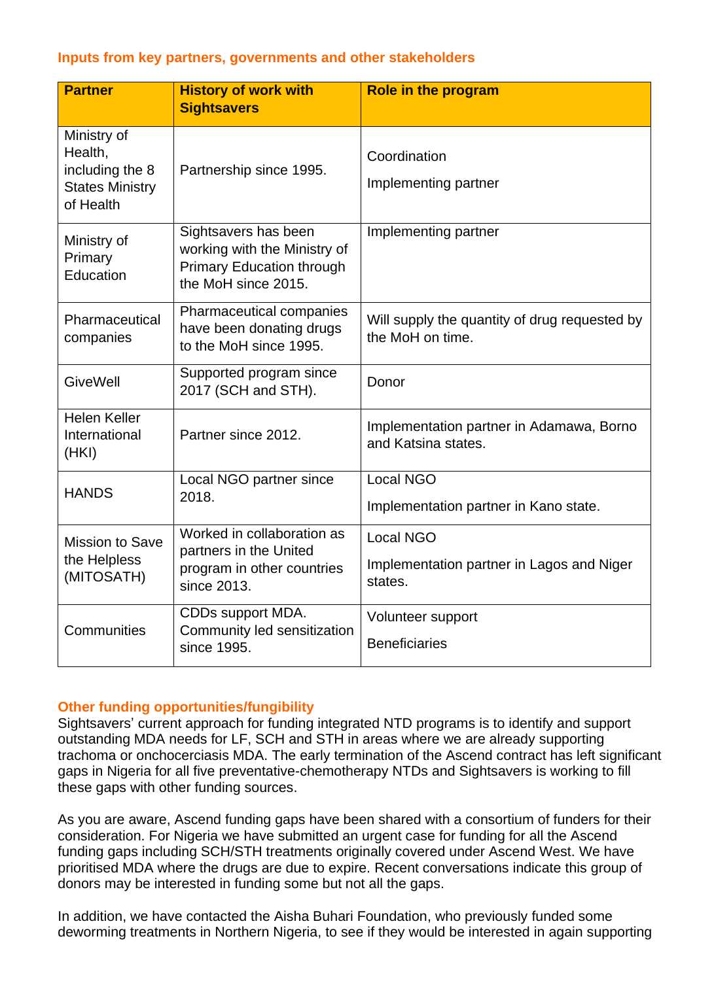## **Inputs from key partners, governments and other stakeholders**

| <b>Partner</b>                                                                   | <b>History of work with</b><br><b>Sightsavers</b>                                                               | <b>Role in the program</b>                                               |
|----------------------------------------------------------------------------------|-----------------------------------------------------------------------------------------------------------------|--------------------------------------------------------------------------|
| Ministry of<br>Health,<br>including the 8<br><b>States Ministry</b><br>of Health | Partnership since 1995.                                                                                         | Coordination<br>Implementing partner                                     |
| Ministry of<br>Primary<br>Education                                              | Sightsavers has been<br>working with the Ministry of<br><b>Primary Education through</b><br>the MoH since 2015. | Implementing partner                                                     |
| Pharmaceutical<br>companies                                                      | Pharmaceutical companies<br>have been donating drugs<br>to the MoH since 1995.                                  | Will supply the quantity of drug requested by<br>the MoH on time.        |
| <b>GiveWell</b>                                                                  | Supported program since<br>2017 (SCH and STH).                                                                  | Donor                                                                    |
| <b>Helen Keller</b><br>International<br>(HKI)                                    | Partner since 2012.                                                                                             | Implementation partner in Adamawa, Borno<br>and Katsina states.          |
| <b>HANDS</b>                                                                     | Local NGO partner since<br>2018.                                                                                | <b>Local NGO</b><br>Implementation partner in Kano state.                |
| <b>Mission to Save</b><br>the Helpless<br>(MITOSATH)                             | Worked in collaboration as<br>partners in the United<br>program in other countries<br>since 2013.               | <b>Local NGO</b><br>Implementation partner in Lagos and Niger<br>states. |
| Communities                                                                      | CDDs support MDA.<br>Community led sensitization<br>since 1995.                                                 | Volunteer support<br><b>Beneficiaries</b>                                |

## **Other funding opportunities/fungibility**

Sightsavers' current approach for funding integrated NTD programs is to identify and support outstanding MDA needs for LF, SCH and STH in areas where we are already supporting trachoma or onchocerciasis MDA. The early termination of the Ascend contract has left significant gaps in Nigeria for all five preventative-chemotherapy NTDs and Sightsavers is working to fill these gaps with other funding sources.

As you are aware, Ascend funding gaps have been shared with a consortium of funders for their consideration. For Nigeria we have submitted an urgent case for funding for all the Ascend funding gaps including SCH/STH treatments originally covered under Ascend West. We have prioritised MDA where the drugs are due to expire. Recent conversations indicate this group of donors may be interested in funding some but not all the gaps.

In addition, we have contacted the Aisha Buhari Foundation, who previously funded some deworming treatments in Northern Nigeria, to see if they would be interested in again supporting